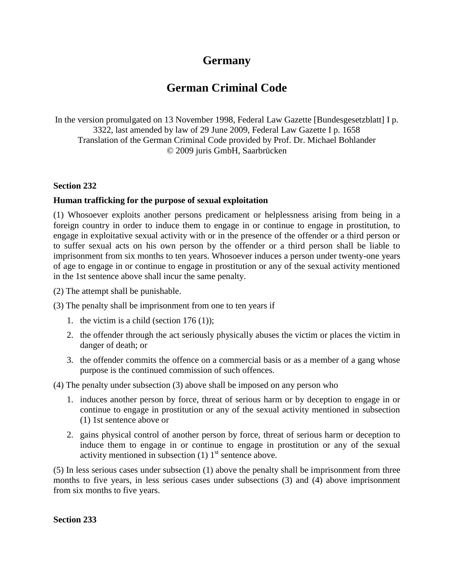## **Germany**

# **German Criminal Code**

In the version promulgated on 13 November 1998, Federal Law Gazette [Bundesgesetzblatt] I p. 3322, last amended by law of 29 June 2009, Federal Law Gazette I p. 1658 Translation of the German Criminal Code provided by Prof. Dr. Michael Bohlander © 2009 juris GmbH, Saarbrücken

#### **Section 232**

#### **Human trafficking for the purpose of sexual exploitation**

(1) Whosoever exploits another persons predicament or helplessness arising from being in a foreign country in order to induce them to engage in or continue to engage in prostitution, to engage in exploitative sexual activity with or in the presence of the offender or a third person or to suffer sexual acts on his own person by the offender or a third person shall be liable to imprisonment from six months to ten years. Whosoever induces a person under twenty-one years of age to engage in or continue to engage in prostitution or any of the sexual activity mentioned in the 1st sentence above shall incur the same penalty.

- (2) The attempt shall be punishable.
- (3) The penalty shall be imprisonment from one to ten years if
	- 1. the victim is a child (section  $176 (1)$ );
	- 2. the offender through the act seriously physically abuses the victim or places the victim in danger of death; or
	- 3. the offender commits the offence on a commercial basis or as a member of a gang whose purpose is the continued commission of such offences.

(4) The penalty under subsection (3) above shall be imposed on any person who

- 1. induces another person by force, threat of serious harm or by deception to engage in or continue to engage in prostitution or any of the sexual activity mentioned in subsection (1) 1st sentence above or
- 2. gains physical control of another person by force, threat of serious harm or deception to induce them to engage in or continue to engage in prostitution or any of the sexual activity mentioned in subsection  $(1)$  1<sup>st</sup> sentence above.

(5) In less serious cases under subsection (1) above the penalty shall be imprisonment from three months to five years, in less serious cases under subsections (3) and (4) above imprisonment from six months to five years.

**Section 233**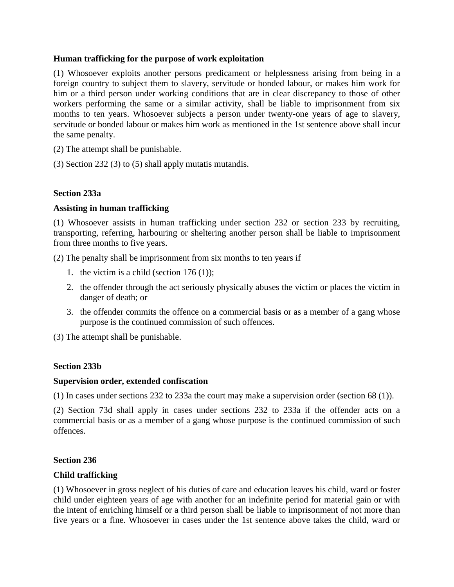#### **Human trafficking for the purpose of work exploitation**

(1) Whosoever exploits another persons predicament or helplessness arising from being in a foreign country to subject them to slavery, servitude or bonded labour, or makes him work for him or a third person under working conditions that are in clear discrepancy to those of other workers performing the same or a similar activity, shall be liable to imprisonment from six months to ten years. Whosoever subjects a person under twenty-one years of age to slavery, servitude or bonded labour or makes him work as mentioned in the 1st sentence above shall incur the same penalty.

- (2) The attempt shall be punishable.
- (3) Section 232 (3) to (5) shall apply mutatis mutandis.

### **Section 233a**

#### **Assisting in human trafficking**

(1) Whosoever assists in human trafficking under section 232 or section 233 by recruiting, transporting, referring, harbouring or sheltering another person shall be liable to imprisonment from three months to five years.

(2) The penalty shall be imprisonment from six months to ten years if

- 1. the victim is a child (section  $176 (1)$ );
- 2. the offender through the act seriously physically abuses the victim or places the victim in danger of death; or
- 3. the offender commits the offence on a commercial basis or as a member of a gang whose purpose is the continued commission of such offences.

(3) The attempt shall be punishable.

#### **Section 233b**

#### **Supervision order, extended confiscation**

(1) In cases under sections 232 to 233a the court may make a supervision order (section 68 (1)).

(2) Section 73d shall apply in cases under sections 232 to 233a if the offender acts on a commercial basis or as a member of a gang whose purpose is the continued commission of such offences.

#### **Section 236**

#### **Child trafficking**

(1) Whosoever in gross neglect of his duties of care and education leaves his child, ward or foster child under eighteen years of age with another for an indefinite period for material gain or with the intent of enriching himself or a third person shall be liable to imprisonment of not more than five years or a fine. Whosoever in cases under the 1st sentence above takes the child, ward or